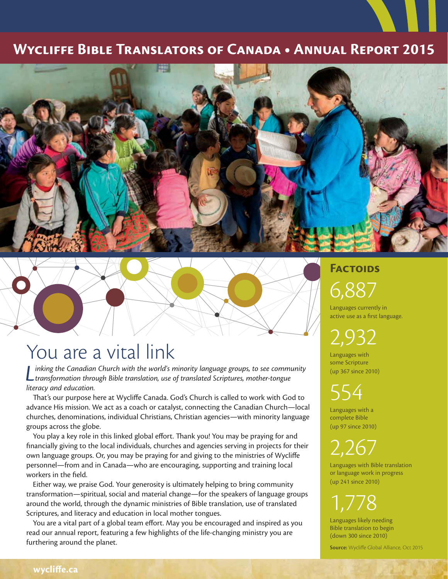#### **Wycliffe Bible Translators of Canada • Annual Report 2015**





## You are a vital link

*L inking the Canadian Church with the world's minority language groups, to see community transformation through Bible translation, use of translated Scriptures, mother-tongue literacy and education.*

That's our purpose here at Wycliffe Canada. God's Church is called to work with God to advance His mission. We act as a coach or catalyst, connecting the Canadian Church—local churches, denominations, individual Christians, Christian agencies—with minority language groups across the globe.

You play a key role in this linked global effort. Thank you! You may be praying for and financially giving to the local individuals, churches and agencies serving in projects for their own language groups. Or, you may be praying for and giving to the ministries of Wycliffe personnel—from and in Canada—who are encouraging, supporting and training local workers in the field.

Either way, we praise God. Your generosity is ultimately helping to bring community transformation—spiritual, social and material change—for the speakers of language groups around the world, through the dynamic ministries of Bible translation, use of translated Scriptures, and literacy and education in local mother tongues.

You are a vital part of a global team effort. May you be encouraged and inspired as you read our annual report, featuring a few highlights of the life-changing ministry you are furthering around the planet.

### **Factoids** 6,887

Languages currently in active use as a first language.

2,932

Languages with some Scripture (up 367 since 2010)

554

Languages with a complete Bible (up 97 since 2010)

2,267

Languages with Bible translation or language work in progress (up 241 since 2010)

1,778

Languages likely needing Bible translation to begin (down 300 since 2010)

**Source:** Wycliffe Global Alliance, Oct 2015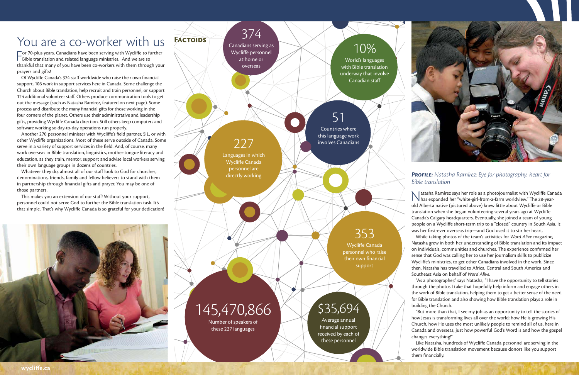## 374

Canadians serving as Wycliffe personnel at home or overseas

## 51

Countries where this language work involves Canadians

## \$35,694

Wycliffe Canada personnel who raise their own financial support

Average annual financial support received by each of these personnel

## 353

227

Languages in which Wycliffe Canada personnel are directly working

### 10%

For 70-plus years, Canadians have been serving with Wycliffe to function and related language ministries. And we are so  $\blacksquare$  or 70-plus years, Canadians have been serving with Wycliffe to further thankful that many of you have been co-workers with them through your prayers and gifts!

World's languages with Bible translation underway that involve Canadian staff

145,470,866

Number of speakers of these 227 languages

**Factoids**



## You are a co-worker with us

Of Wycliffe Canada's 374 staff worldwide who raise their own financial support, 106 work in support services here in Canada. Some challenge the Church about Bible translation, help recruit and train personnel, or support 124 additional volunteer staff. Others produce communication tools to get out the message (such as Natasha Ramírez, featured on next page). Some process and distribute the many financial gifts for those working in the four corners of the planet. Others use their administrative and leadership gifts, providing Wycliffe Canada direction. Still others keep computers and software working so day-to-day operations run properly.

Another 270 personnel minister with Wycliffe's field partner, SIL, or with other Wycliffe organizations. Most of these serve outside of Canada. Some serve in a variety of support services in the field. And, of course, many work overseas in Bible translation, linguistics, mother-tongue literacy and education, as they train, mentor, support and advise local workers serving their own language groups in dozens of countries.

#### **PROFILE:** Natasha Ramírez: Eye for photography, heart for Bible translation

Matasha Ramírez says her role as a photojournalist with Wycliffe Canada<br>has expanded her "white-girl-from-a-farm worldview." The 28-year- $\mathcal N$  has expanded her "white-girl-from-a-farm worldview." The 28-yearold Alberta native (pictured above) knew little about Wycliffe or Bible translation when she began volunteering several years ago at Wycliffe Canada's Calgary headquarters. Eventually, she joined a team of young people on a Wycliffe short-term trip to a "closed" country in South Asia. It was her first-ever overseas trip—and God used it to stir her heart. While taking photos of the team's activities for *Word Alive* magazine, Natasha grew in both her understanding of Bible translation and its impact on individuals, communities and churches. The experience confirmed her sense that God was calling her to use her journalism skills to publicize Wycliffe's ministries, to get other Canadians involved in the work. Since then, Natasha has travelled to Africa, Central and South America and Southeast Asia on behalf of *Word Alive*.

Whatever they do, almost all of our staff look to God for churches, denominations, friends, family and fellow believers to stand with them in partnership through financial gifts and prayer. You may be one of those partners.

This makes you an extension of our staff! Without your support, personnel could not serve God to further the Bible translation task. It's that simple. That's why Wycliffe Canada is so grateful for your dedication!



"As a photographer," says Natasha, "I have the opportunity to tell stories through the photos I take that hopefully help inform and engage others in the work of Bible translation, helping them to get a better sense of the need for Bible translation and also showing how Bible translation plays a role in building the Church.

"But more than that, I see my job as an opportunity to tell the stories of how Jesus is transforming lives all over the world; how He is growing His Church, how He uses the most unlikely people to remind all of us, here in Canada and overseas, just how powerful God's Word is and how the gospel changes everything!"

Like Natasha, hundreds of Wycliffe Canada personnel are serving in the worldwide Bible translation movement because donors like you support them financially.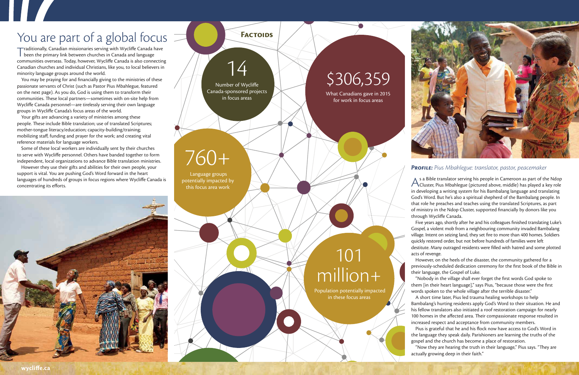**Factoids**

## \$306,359

What Canadians gave in 2015 for work in focus areas

Number of Wycliffe Canada-sponsored projects in focus areas

# 14

## 760+

 Language groups potentially impacted by this focus area work

## 101 million+

Population potentially impacted in these focus areas

## You are part of a global focus

Traditionally, Canadian missionaries serving with Wycliffe Canada have<br>been the primary link between churches in Canada and language been the primary link between churches in Canada and language communities overseas. Today, however, Wycliffe Canada is also connecting Canadian churches and individual Christians, like you, to local believers in minority language groups around the world.

You may be praying for and financially giving to the ministries of these passionate servants of Christ (such as Pastor Pius Mbahlegue, featured on the next page). As you do, God is using them to transform their communities. These local partners—sometimes with on-site help from Wycliffe Canada personnel—are tirelessly serving their own language groups in Wycliffe Canada's focus areas of the world.

However they use their gifts and abilities for their own people, your support is vital. You are pushing God's Word forward in the heart languages of hundreds of groups in focus regions where Wycliffe Canada is concentrating its efforts.

Your gifts are advancing a variety of ministries among these people. These include Bible translation; use of translated Scriptures; mother-tongue literacy/education; capacity-building/training; mobilizing staff, funding and prayer for the work; and creating vital reference materials for language workers.

Some of these local workers are individually sent by their churches to serve with Wycliffe personnel. Others have banded together to form independent, local organizations to advance Bible translation ministries.

> words spoken to the whole village after the terrible disaster." A short time later, Pius led trauma healing workshops to help Bambalang's hurting residents apply God's Word to their situation. He and his fellow translators also initiated a roof restoration campaign for nearly 100 homes in the affected area. Their compassionate response resulted in increased respect and acceptance from community members. Pius is grateful that he and his flock now have access to God's Word in

#### **Profile:** Pius Mbahlegue: translator, pastor, peacemaker

A s a Bible translator serving his people in Cameroon as part of the Ndop<br>Cluster, Pius Mbahlegue (pictured above, middle) has played a key role  $\lambda$  s a Bible translator serving his people in Cameroon as part of the Ndop in developing a writing system for his Bambalang language and translating God's Word. But he's also a spiritual shepherd of the Bambalang people. In that role he preaches and teaches using the translated Scriptures, as part of ministry in the Ndop Cluster, supported financially by donors like you through Wycliffe Canada.

Five years ago, shortly after he and his colleagues finished translating Luke's Gospel, a violent mob from a neighbouring community invaded Bambalang village. Intent on seizing land, they set fire to more than 400 homes. Soldiers quickly restored order, but not before hundreds of families were left destitute. Many outraged residents were filled with hatred and some plotted

"Now they are hearing the truth in their language," Pius says. "They are actually growing deep in their faith."



acts of revenge.

However, on the heels of the disaster, the community gathered for a previously-scheduled dedication ceremony for the first book of the Bible in their language, the Gospel of Luke.

"Nobody in the village shall ever forget the first words God spoke to them [in their heart language]," says Pius, "because those were the first

the language they speak daily. Parishioners are learning the truths of the gospel and the church has become a place of restoration.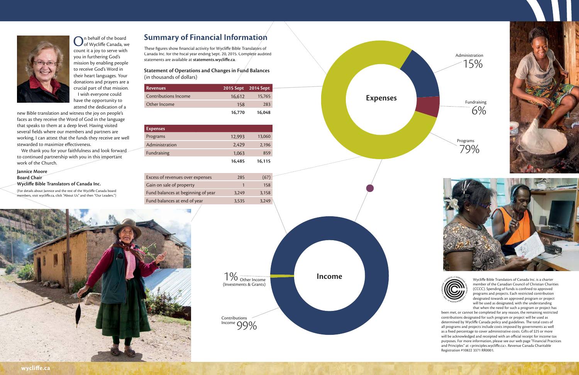

 $\bigodot$ n behalf of the board<br>Oof Wycliffe Canada, we n behalf of the board count it a joy to serve with you in furthering God's mission by enabling people to receive God's Word in their heart languages. Your donations and prayers are a crucial part of that mission. I wish everyone could have the opportunity to attend the dedication of a

new Bible translation and witness the joy on people's faces as they receive the Word of God in the language that speaks to them at a deep level. Having visited several fields where our members and partners are working, I can attest that the funds they receive are well stewarded to maximize effectiveness.

We thank you for your faithfulness and look forward to continued partnership with you in this important work of the Church.

#### **Jannice Moore Board Chair**

**Wycliffe Bible Translators of Canada Inc.** 

(For details about Jannice and the rest of the Wycliffe Canada board members, visit wycliffe.ca, click "About Us" and then "Our Leaders.")

#### **Summary of Financial Information**

These figures show financial activity for Wycliffe Bible Translators of Canada Inc. for the fiscal year ending Sept. 20, 2015. Complete audited statements are available at statements.wycliffe.ca.

#### **Statement of Operations and Changes in Fund Balances** (in thousands of dollars)

**Expenses**

Wycliffe Bible Translators of Canada Inc. is a charter member of the Canadian Council of Christian Charities (CCCC). Spending of funds is confined to approved programs and projects. Each restricted contribution designated towards an approved program or project will be used as designated, with the understanding that when the need for such a program or project has

| Revenues                    | 2015 Sept 2014 Sept |        |
|-----------------------------|---------------------|--------|
| <b>Contributions Income</b> | 16.612              | 15.765 |
| Other Income                | 158                 | 283    |
|                             | 16.770              | 16.048 |

| <b>Expenses</b> |        |        |
|-----------------|--------|--------|
| Programs        | 12,993 | 13,060 |
| Administration  | 2,429  | 2,196  |
| Fundraising     | 1,063  | 859    |
|                 | 16,485 | 16,115 |

| Excess of revenues over expenses   | 285   | (67)  |
|------------------------------------|-------|-------|
| Gain on sale of property           |       | 158   |
| Fund balances at beginning of year | 3.249 | 3.158 |
| Fund balances at end of year       | 3,535 | 3.249 |





been met, or cannot be completed for any reason, the remaining restricted contributions designated for such program or project will be used as determined by Wycliffe Canada policy and guidelines. The total costs of all programs and projects include costs imposed by governments as well as a fixed percentage to cover administrative costs. Gifts of \$25 or more will be acknowledged and receipted with an official receipt for income tax purposes. For more information, please see our web page "Financial Practices and Principles" at <principles.wycliffe.ca>. Revenue Canada Charitable Registration #10822 3371 RR0001.